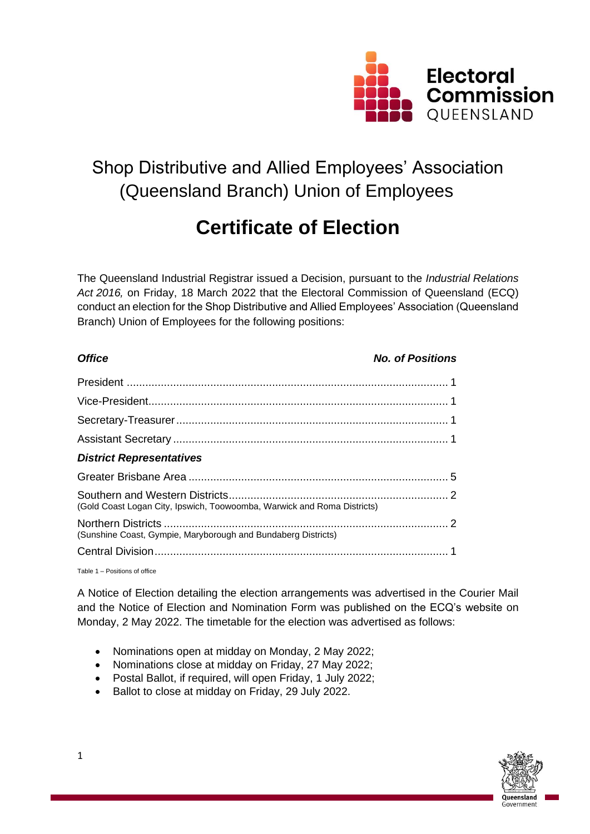

## Shop Distributive and Allied Employees' Association (Queensland Branch) Union of Employees

# **Certificate of Election**

The Queensland Industrial Registrar issued a Decision, pursuant to the *Industrial Relations Act 2016,* on Friday, 18 March 2022 that the Electoral Commission of Queensland (ECQ) conduct an election for the Shop Distributive and Allied Employees' Association (Queensland Branch) Union of Employees for the following positions:

| <b>Office</b>                                                           | <b>No. of Positions</b> |
|-------------------------------------------------------------------------|-------------------------|
|                                                                         |                         |
|                                                                         |                         |
|                                                                         |                         |
|                                                                         |                         |
| <b>District Representatives</b>                                         |                         |
|                                                                         |                         |
| (Gold Coast Logan City, Ipswich, Toowoomba, Warwick and Roma Districts) |                         |
| (Sunshine Coast, Gympie, Maryborough and Bundaberg Districts)           |                         |
|                                                                         |                         |

Table 1 – Positions of office

A Notice of Election detailing the election arrangements was advertised in the Courier Mail and the Notice of Election and Nomination Form was published on the ECQ's website on Monday, 2 May 2022. The timetable for the election was advertised as follows:

- Nominations open at midday on Monday, 2 May 2022;
- Nominations close at midday on Friday, 27 May 2022;
- Postal Ballot, if required, will open Friday, 1 July 2022;
- Ballot to close at midday on Friday, 29 July 2022.

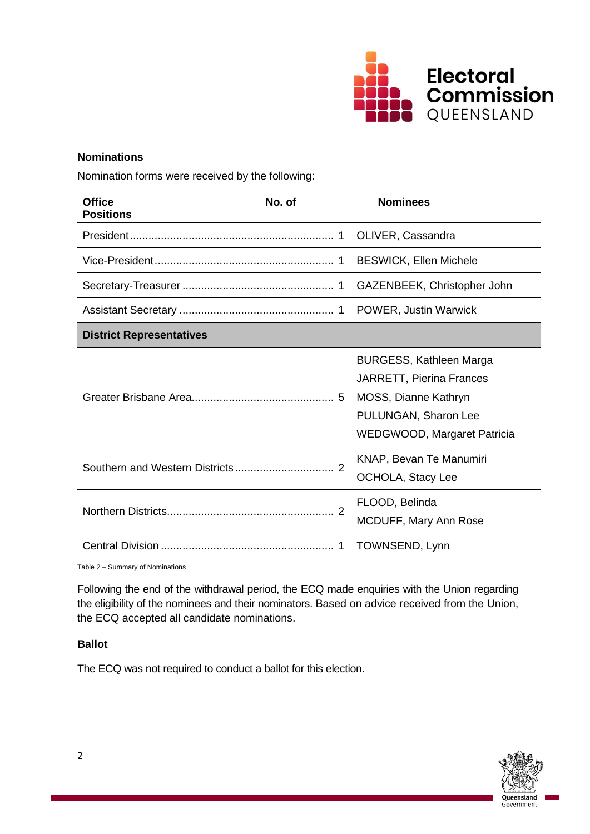

### **Nominations**

Nomination forms were received by the following:

| <b>Office</b><br><b>Positions</b> | No. of        | <b>Nominees</b>                                                                                                                                  |
|-----------------------------------|---------------|--------------------------------------------------------------------------------------------------------------------------------------------------|
|                                   |               | OLIVER, Cassandra                                                                                                                                |
|                                   |               | <b>BESWICK, Ellen Michele</b>                                                                                                                    |
|                                   |               | GAZENBEEK, Christopher John                                                                                                                      |
|                                   |               | <b>POWER, Justin Warwick</b>                                                                                                                     |
| <b>District Representatives</b>   |               |                                                                                                                                                  |
|                                   |               | <b>BURGESS, Kathleen Marga</b><br><b>JARRETT, Pierina Frances</b><br>MOSS, Dianne Kathryn<br>PULUNGAN, Sharon Lee<br>WEDGWOOD, Margaret Patricia |
|                                   |               | KNAP, Bevan Te Manumiri<br>OCHOLA, Stacy Lee                                                                                                     |
|                                   | $\mathcal{P}$ | FLOOD, Belinda<br>MCDUFF, Mary Ann Rose                                                                                                          |
|                                   | 1             | TOWNSEND, Lynn                                                                                                                                   |

Table 2 – Summary of Nominations

Following the end of the withdrawal period, the ECQ made enquiries with the Union regarding the eligibility of the nominees and their nominators. Based on advice received from the Union, the ECQ accepted all candidate nominations.

#### **Ballot**

The ECQ was not required to conduct a ballot for this election.